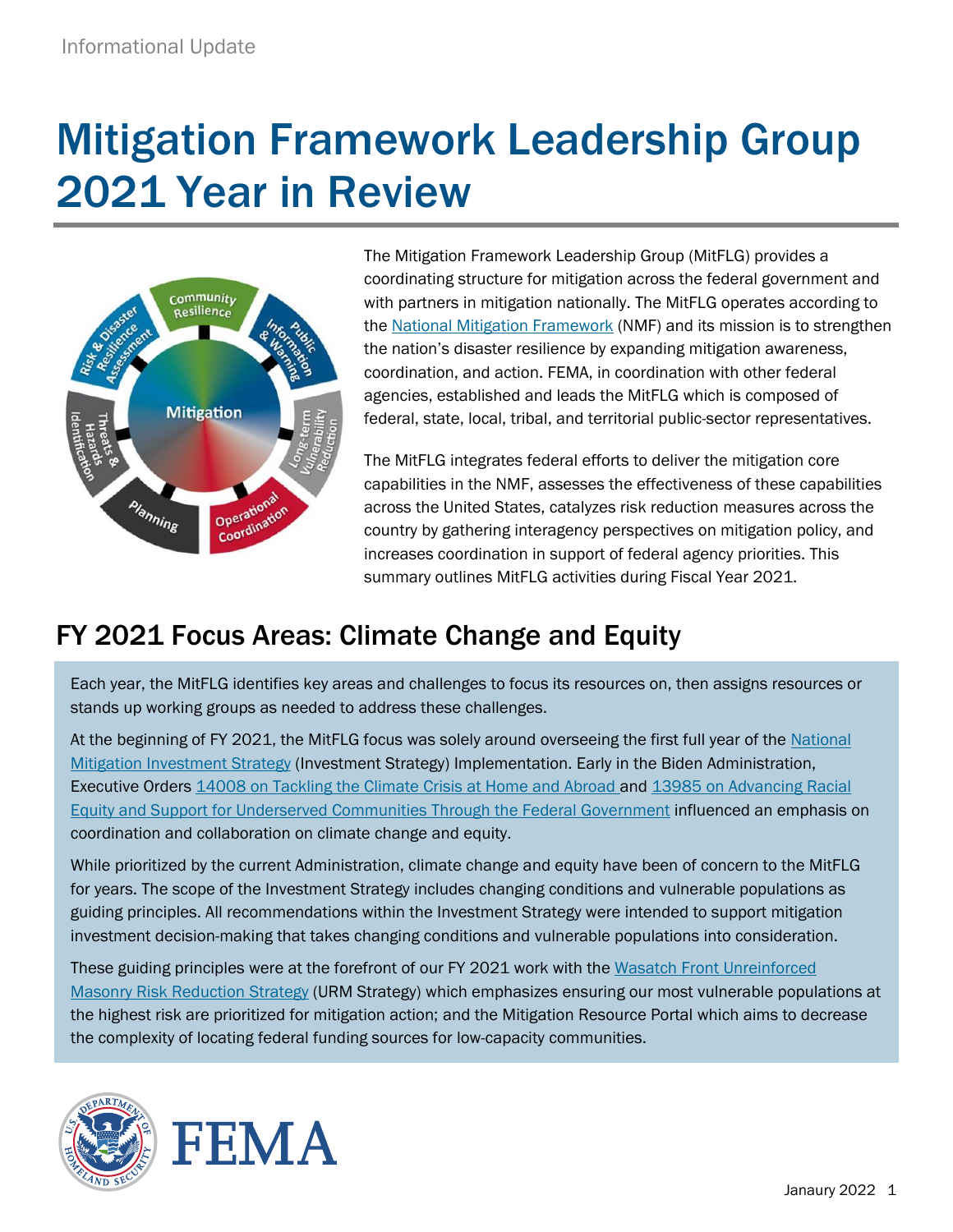# Mitigation Framework Leadership Group 2021 Year in Review



The Mitigation Framework Leadership Group (MitFLG) provides a coordinating structure for mitigation across the federal government and with partners in mitigation nationally. The MitFLG operates according to the [National Mitigation Framework](https://www.fema.gov/sites/default/files/2020-04/National_Mitigation_Framework2nd_june2016.pdf) (NMF) and its mission is to strengthen the nation's disaster resilience by expanding mitigation awareness, coordination, and action. FEMA, in coordination with other federal agencies, established and leads the MitFLG which is composed of federal, state, local, tribal, and territorial public-sector representatives.

The MitFLG integrates federal efforts to deliver the mitigation core capabilities in the NMF, assesses the effectiveness of these capabilities across the United States, catalyzes risk reduction measures across the country by gathering interagency perspectives on mitigation policy, and increases coordination in support of federal agency priorities. This summary outlines MitFLG activities during Fiscal Year 2021.

## FY 2021 Focus Areas: Climate Change and Equity

Each year, the MitFLG identifies key areas and challenges to focus its resources on, then assigns resources or stands up working groups as needed to address these challenges.

At the beginning of FY 2021, the MitFLG focus was solely around overseeing the first full year of the [National](https://www.fema.gov/sites/default/files/2020-10/fema_national-mitigation-investment-strategy.pdf)  [Mitigation Investment Strategy](https://www.fema.gov/sites/default/files/2020-10/fema_national-mitigation-investment-strategy.pdf) (Investment Strategy) Implementation. Early in the Biden Administration, Executive Orders [14008 on Tackling the Climate Crisis at Home and Abroad](https://www.whitehouse.gov/briefing-room/presidential-actions/2021/01/27/executive-order-on-tackling-the-climate-crisis-at-home-and-abroad/) and 13985 on Advancing Racial [Equity and Support for Underserved Communities Through the Federal Government](https://www.whitehouse.gov/briefing-room/presidential-actions/2021/01/20/executive-order-advancing-racial-equity-and-support-for-underserved-communities-through-the-federal-government/) influenced an emphasis on coordination and collaboration on climate change and equity.

While prioritized by the current Administration, climate change and equity have been of concern to the MitFLG for years. The scope of the Investment Strategy includes changing conditions and vulnerable populations as guiding principles. All recommendations within the Investment Strategy were intended to support mitigation investment decision-making that takes changing conditions and vulnerable populations into consideration.

These guiding principles were at the forefront of our FY 2021 work with the [Wasatch Front](https://www.fema.gov/sites/default/files/documents/fema_wasatch-front-urm-risk-reduction-strategy.pdf) Unreinforced [Masonry Risk Reduction Strategy](https://www.fema.gov/sites/default/files/documents/fema_wasatch-front-urm-risk-reduction-strategy.pdf) (URM Strategy) which emphasizes ensuring our most vulnerable populations at the highest risk are prioritized for mitigation action; and the Mitigation Resource Portal which aims to decrease the complexity of locating federal funding sources for low-capacity communities.



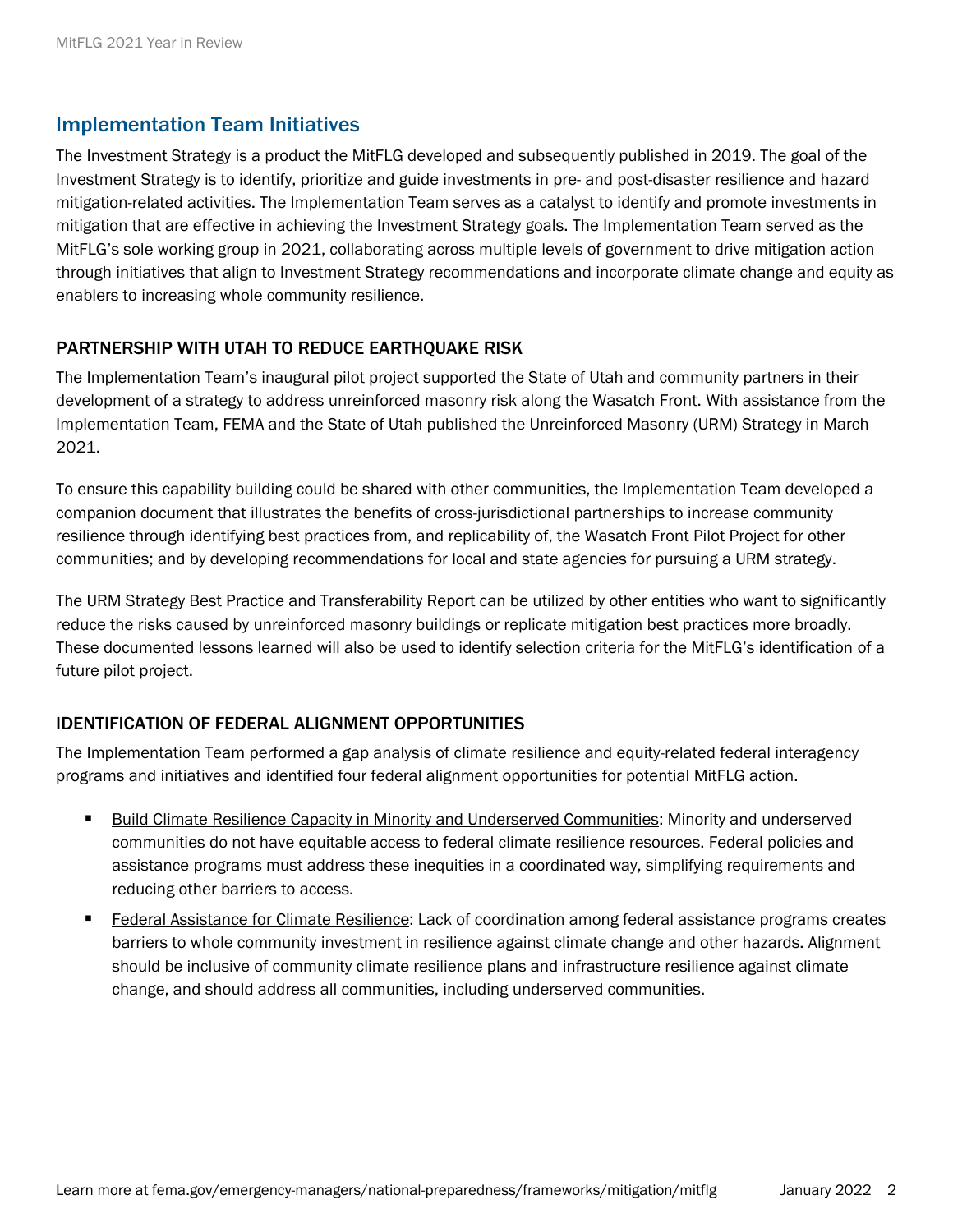#### Implementation Team Initiatives

The Investment Strategy is a product the MitFLG developed and subsequently published in 2019. The goal of the Investment Strategy is to identify, prioritize and guide investments in pre- and post-disaster resilience and hazard mitigation-related activities. The Implementation Team serves as a catalyst to identify and promote investments in mitigation that are effective in achieving the Investment Strategy goals. The Implementation Team served as the MitFLG's sole working group in 2021, collaborating across multiple levels of government to drive mitigation action through initiatives that align to Investment Strategy recommendations and incorporate climate change and equity as enablers to increasing whole community resilience.

#### PARTNERSHIP WITH UTAH TO REDUCE EARTHQUAKE RISK

The Implementation Team's inaugural pilot project supported the State of Utah and community partners in their development of a strategy to address unreinforced masonry risk along the Wasatch Front. With assistance from the Implementation Team, FEMA and the State of Utah published the Unreinforced Masonry (URM) Strategy in March 2021.

To ensure this capability building could be shared with other communities, the Implementation Team developed a companion document that illustrates the benefits of cross-jurisdictional partnerships to increase community resilience through identifying best practices from, and replicability of, the Wasatch Front Pilot Project for other communities; and by developing recommendations for local and state agencies for pursuing a URM strategy.

The URM Strategy Best Practice and Transferability Report can be utilized by other entities who want to significantly reduce the risks caused by unreinforced masonry buildings or replicate mitigation best practices more broadly. These documented lessons learned will also be used to identify selection criteria for the MitFLG's identification of a future pilot project.

#### IDENTIFICATION OF FEDERAL ALIGNMENT OPPORTUNITIES

The Implementation Team performed a gap analysis of climate resilience and equity-related federal interagency programs and initiatives and identified four federal alignment opportunities for potential MitFLG action.

- **Build Climate Resilience Capacity in Minority and Underserved Communities: Minority and underserved** communities do not have equitable access to federal climate resilience resources. Federal policies and assistance programs must address these inequities in a coordinated way, simplifying requirements and reducing other barriers to access.
- Federal Assistance for Climate Resilience: Lack of coordination among federal assistance programs creates barriers to whole community investment in resilience against climate change and other hazards. Alignment should be inclusive of community climate resilience plans and infrastructure resilience against climate change, and should address all communities, including underserved communities.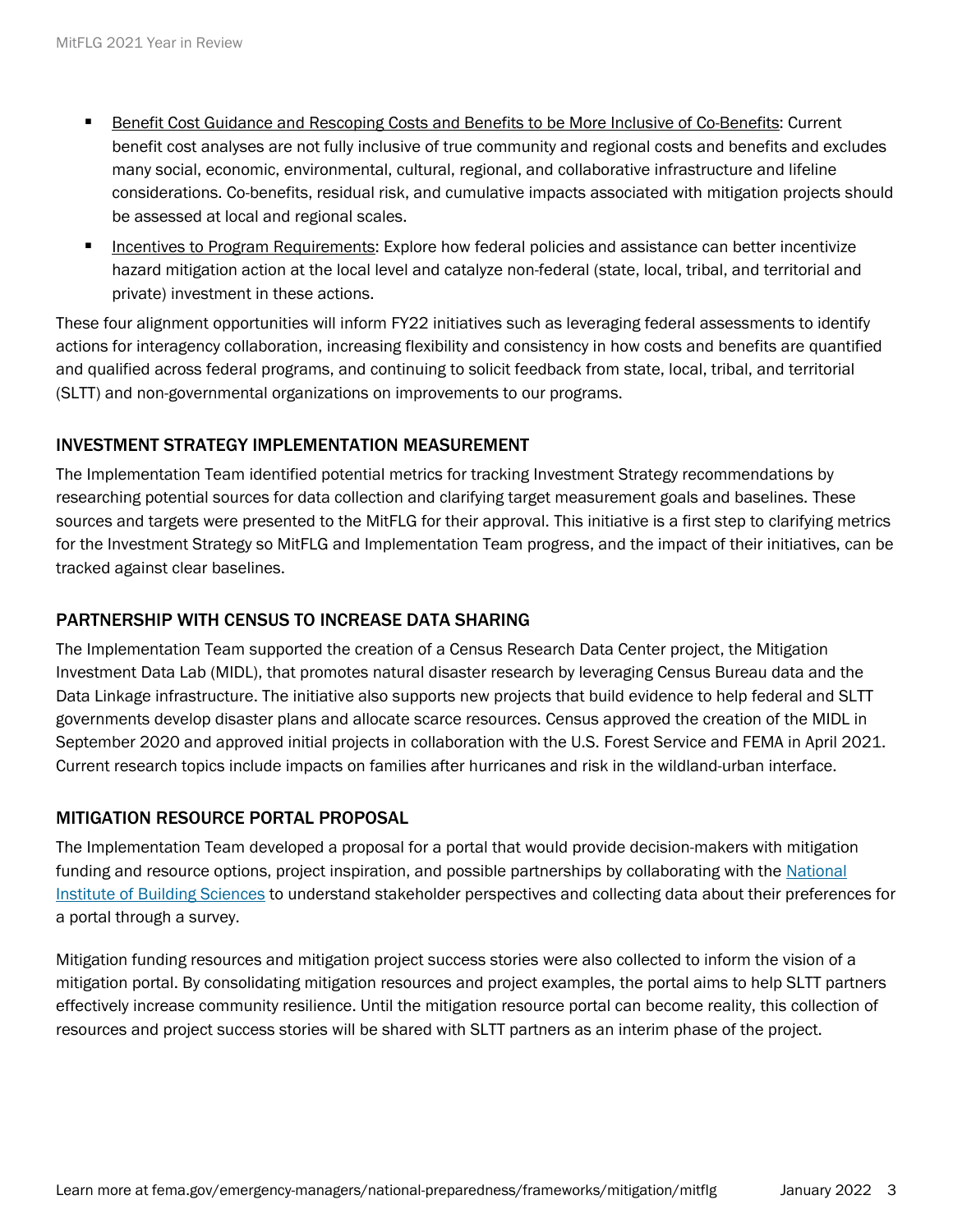- Benefit Cost Guidance and Rescoping Costs and Benefits to be More Inclusive of Co-Benefits: Current benefit cost analyses are not fully inclusive of true community and regional costs and benefits and excludes many social, economic, environmental, cultural, regional, and collaborative infrastructure and lifeline considerations. Co-benefits, residual risk, and cumulative impacts associated with mitigation projects should be assessed at local and regional scales.
- Incentives to Program Requirements: Explore how federal policies and assistance can better incentivize hazard mitigation action at the local level and catalyze non-federal (state, local, tribal, and territorial and private) investment in these actions.

These four alignment opportunities will inform FY22 initiatives such as leveraging federal assessments to identify actions for interagency collaboration, increasing flexibility and consistency in how costs and benefits are quantified and qualified across federal programs, and continuing to solicit feedback from state, local, tribal, and territorial (SLTT) and non-governmental organizations on improvements to our programs.

#### INVESTMENT STRATEGY IMPLEMENTATION MEASUREMENT

The Implementation Team identified potential metrics for tracking Investment Strategy recommendations by researching potential sources for data collection and clarifying target measurement goals and baselines. These sources and targets were presented to the MitFLG for their approval. This initiative is a first step to clarifying metrics for the Investment Strategy so MitFLG and Implementation Team progress, and the impact of their initiatives, can be tracked against clear baselines.

#### PARTNERSHIP WITH CENSUS TO INCREASE DATA SHARING

The Implementation Team supported the creation of a Census Research Data Center project, the Mitigation Investment Data Lab (MIDL), that promotes natural disaster research by leveraging Census Bureau data and the Data Linkage infrastructure. The initiative also supports new projects that build evidence to help federal and SLTT governments develop disaster plans and allocate scarce resources. Census approved the creation of the MIDL in September 2020 and approved initial projects in collaboration with the U.S. Forest Service and FEMA in April 2021. Current research topics include impacts on families after hurricanes and risk in the wildland-urban interface.

#### MITIGATION RESOURCE PORTAL PROPOSAL

The Implementation Team developed a proposal for a portal that would provide decision-makers with mitigation funding and resource options, project inspiration, and possible partnerships by collaborating with the [National](https://www.nibs.org/)  Institute of [Building Sciences](https://www.nibs.org/) to understand stakeholder perspectives and collecting data about their preferences for a portal through a survey.

Mitigation funding resources and mitigation project success stories were also collected to inform the vision of a mitigation portal. By consolidating mitigation resources and project examples, the portal aims to help SLTT partners effectively increase community resilience. Until the mitigation resource portal can become reality, this collection of resources and project success stories will be shared with SLTT partners as an interim phase of the project.